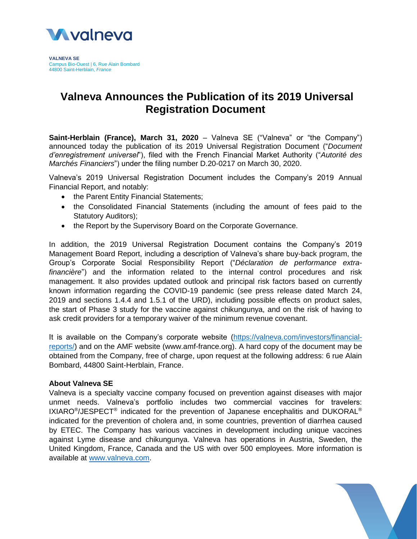

**VALNEVA SE** Campus Bio-Ouest | 6, Rue Alain Bombard 44800 Saint-Herblain, *France*

## **Valneva Announces the Publication of its 2019 Universal Registration Document**

**Saint-Herblain (France), March 31, 2020** – Valneva SE ("Valneva" or "the Company") announced today the publication of its 2019 Universal Registration Document ("*Document d'enregistrement universel*"), filed with the French Financial Market Authority ("*Autorité des Marchés Financiers*") under the filing number D.20-0217 on March 30, 2020.

Valneva's 2019 Universal Registration Document includes the Company's 2019 Annual Financial Report, and notably:

- the Parent Entity Financial Statements;
- the Consolidated Financial Statements (including the amount of fees paid to the Statutory Auditors);
- the Report by the Supervisory Board on the Corporate Governance.

In addition, the 2019 Universal Registration Document contains the Company's 2019 Management Board Report, including a description of Valneva's share buy-back program, the Group's Corporate Social Responsibility Report ("*Déclaration de performance extrafinancière*") and the information related to the internal control procedures and risk management. It also provides updated outlook and principal risk factors based on currently known information regarding the COVID-19 pandemic (see press release dated March 24, 2019 and sections 1.4.4 and 1.5.1 of the URD), including possible effects on product sales, the start of Phase 3 study for the vaccine against chikungunya, and on the risk of having to ask credit providers for a temporary waiver of the minimum revenue covenant.

It is available on the Company's corporate website [\(https://valneva.com/investors/financial](https://valneva.com/investors/financial-reports/)[reports/\)](https://valneva.com/investors/financial-reports/) and on the AMF website (www.amf-france.org). A hard copy of the document may be obtained from the Company, free of charge, upon request at the following address: 6 rue Alain Bombard, 44800 Saint-Herblain, France.

## **About Valneva SE**

Valneva is a specialty vaccine company focused on prevention against diseases with major unmet needs. Valneva's portfolio includes two commercial vaccines for travelers: IXIARO<sup>®</sup>/JESPECT<sup>®</sup> indicated for the prevention of Japanese encephalitis and DUKORAL<sup>®</sup> indicated for the prevention of cholera and, in some countries, prevention of diarrhea caused by ETEC. The Company has various vaccines in development including unique vaccines against Lyme disease and chikungunya. Valneva has operations in Austria, Sweden, the United Kingdom, France, Canada and the US with over 500 employees. More information is available at [www.valneva.com.](http://www.valneva.com/)